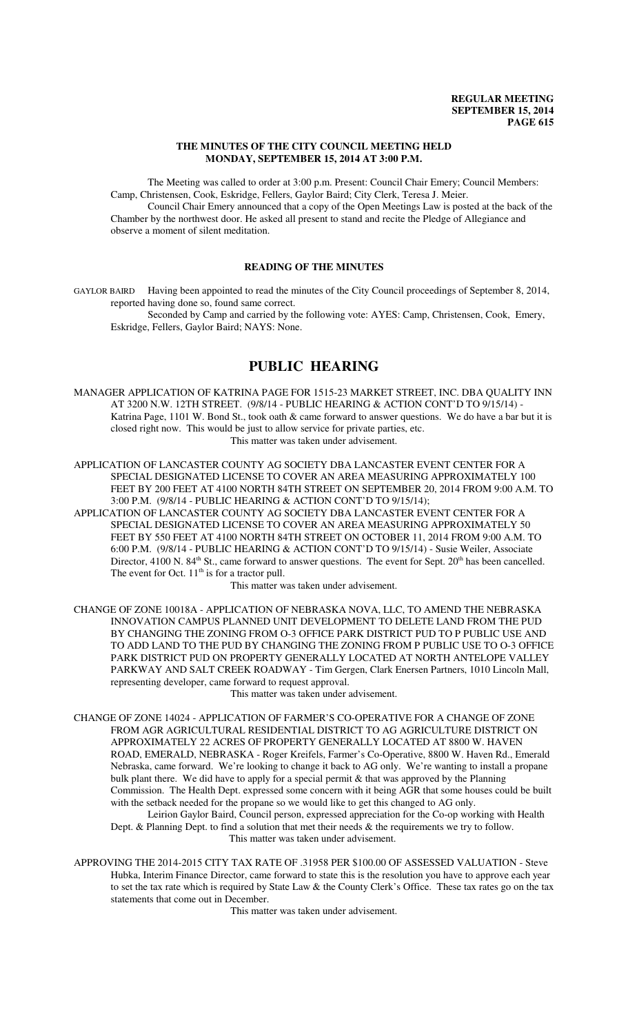## **THE MINUTES OF THE CITY COUNCIL MEETING HELD MONDAY, SEPTEMBER 15, 2014 AT 3:00 P.M.**

The Meeting was called to order at 3:00 p.m. Present: Council Chair Emery; Council Members: Camp, Christensen, Cook, Eskridge, Fellers, Gaylor Baird; City Clerk, Teresa J. Meier. Council Chair Emery announced that a copy of the Open Meetings Law is posted at the back of the

Chamber by the northwest door. He asked all present to stand and recite the Pledge of Allegiance and observe a moment of silent meditation.

## **READING OF THE MINUTES**

GAYLOR BAIRD Having been appointed to read the minutes of the City Council proceedings of September 8, 2014, reported having done so, found same correct.

Seconded by Camp and carried by the following vote: AYES: Camp, Christensen, Cook, Emery, Eskridge, Fellers, Gaylor Baird; NAYS: None.

# **PUBLIC HEARING**

MANAGER APPLICATION OF KATRINA PAGE FOR 1515-23 MARKET STREET, INC. DBA QUALITY INN AT 3200 N.W. 12TH STREET. (9/8/14 - PUBLIC HEARING & ACTION CONT'D TO 9/15/14) - Katrina Page, 1101 W. Bond St., took oath & came forward to answer questions. We do have a bar but it is closed right now. This would be just to allow service for private parties, etc. This matter was taken under advisement.

APPLICATION OF LANCASTER COUNTY AG SOCIETY DBA LANCASTER EVENT CENTER FOR A SPECIAL DESIGNATED LICENSE TO COVER AN AREA MEASURING APPROXIMATELY 100 FEET BY 200 FEET AT 4100 NORTH 84TH STREET ON SEPTEMBER 20, 2014 FROM 9:00 A.M. TO 3:00 P.M. (9/8/14 - PUBLIC HEARING & ACTION CONT'D TO 9/15/14);

APPLICATION OF LANCASTER COUNTY AG SOCIETY DBA LANCASTER EVENT CENTER FOR A SPECIAL DESIGNATED LICENSE TO COVER AN AREA MEASURING APPROXIMATELY 50 FEET BY 550 FEET AT 4100 NORTH 84TH STREET ON OCTOBER 11, 2014 FROM 9:00 A.M. TO 6:00 P.M. (9/8/14 - PUBLIC HEARING & ACTION CONT'D TO 9/15/14) - Susie Weiler, Associate Director, 4100 N. 84<sup>th</sup> St., came forward to answer questions. The event for Sept.  $20<sup>th</sup>$  has been cancelled. The event for Oct.  $11<sup>th</sup>$  is for a tractor pull.

This matter was taken under advisement.

CHANGE OF ZONE 10018A - APPLICATION OF NEBRASKA NOVA, LLC, TO AMEND THE NEBRASKA INNOVATION CAMPUS PLANNED UNIT DEVELOPMENT TO DELETE LAND FROM THE PUD BY CHANGING THE ZONING FROM O-3 OFFICE PARK DISTRICT PUD TO P PUBLIC USE AND TO ADD LAND TO THE PUD BY CHANGING THE ZONING FROM P PUBLIC USE TO O-3 OFFICE PARK DISTRICT PUD ON PROPERTY GENERALLY LOCATED AT NORTH ANTELOPE VALLEY PARKWAY AND SALT CREEK ROADWAY - Tim Gergen, Clark Enersen Partners, 1010 Lincoln Mall, representing developer, came forward to request approval.

This matter was taken under advisement.

CHANGE OF ZONE 14024 - APPLICATION OF FARMER'S CO-OPERATIVE FOR A CHANGE OF ZONE FROM AGR AGRICULTURAL RESIDENTIAL DISTRICT TO AG AGRICULTURE DISTRICT ON APPROXIMATELY 22 ACRES OF PROPERTY GENERALLY LOCATED AT 8800 W. HAVEN ROAD, EMERALD, NEBRASKA - Roger Kreifels, Farmer's Co-Operative, 8800 W. Haven Rd., Emerald Nebraska, came forward. We're looking to change it back to AG only. We're wanting to install a propane bulk plant there. We did have to apply for a special permit & that was approved by the Planning Commission. The Health Dept. expressed some concern with it being AGR that some houses could be built with the setback needed for the propane so we would like to get this changed to AG only. Leirion Gaylor Baird, Council person, expressed appreciation for the Co-op working with Health

Dept. & Planning Dept. to find a solution that met their needs & the requirements we try to follow. This matter was taken under advisement.

APPROVING THE 2014-2015 CITY TAX RATE OF .31958 PER \$100.00 OF ASSESSED VALUATION - Steve Hubka, Interim Finance Director, came forward to state this is the resolution you have to approve each year to set the tax rate which is required by State Law & the County Clerk's Office. These tax rates go on the tax statements that come out in December.

This matter was taken under advisement.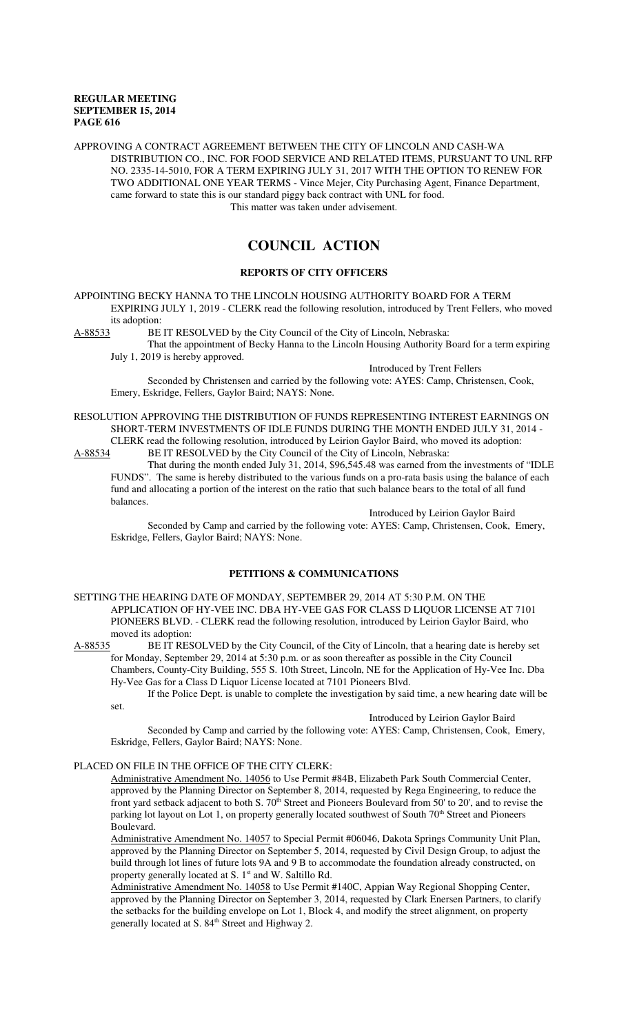APPROVING A CONTRACT AGREEMENT BETWEEN THE CITY OF LINCOLN AND CASH-WA DISTRIBUTION CO., INC. FOR FOOD SERVICE AND RELATED ITEMS, PURSUANT TO UNL RFP NO. 2335-14-5010, FOR A TERM EXPIRING JULY 31, 2017 WITH THE OPTION TO RENEW FOR TWO ADDITIONAL ONE YEAR TERMS - Vince Mejer, City Purchasing Agent, Finance Department, came forward to state this is our standard piggy back contract with UNL for food. This matter was taken under advisement.

# **COUNCIL ACTION**

## **REPORTS OF CITY OFFICERS**

APPOINTING BECKY HANNA TO THE LINCOLN HOUSING AUTHORITY BOARD FOR A TERM EXPIRING JULY 1, 2019 - CLERK read the following resolution, introduced by Trent Fellers, who moved its adoption:<br>A-88533 BE

BE IT RESOLVED by the City Council of the City of Lincoln, Nebraska:

That the appointment of Becky Hanna to the Lincoln Housing Authority Board for a term expiring July 1, 2019 is hereby approved.

Introduced by Trent Fellers

Seconded by Christensen and carried by the following vote: AYES: Camp, Christensen, Cook, Emery, Eskridge, Fellers, Gaylor Baird; NAYS: None.

#### RESOLUTION APPROVING THE DISTRIBUTION OF FUNDS REPRESENTING INTEREST EARNINGS ON SHORT-TERM INVESTMENTS OF IDLE FUNDS DURING THE MONTH ENDED JULY 31, 2014 - CLERK read the following resolution, introduced by Leirion Gaylor Baird, who moved its adoption:

A-88534 BE IT RESOLVED by the City Council of the City of Lincoln, Nebraska:

That during the month ended July 31, 2014, \$96,545.48 was earned from the investments of "IDLE FUNDS". The same is hereby distributed to the various funds on a pro-rata basis using the balance of each fund and allocating a portion of the interest on the ratio that such balance bears to the total of all fund balances.

Introduced by Leirion Gaylor Baird

Seconded by Camp and carried by the following vote: AYES: Camp, Christensen, Cook, Emery, Eskridge, Fellers, Gaylor Baird; NAYS: None.

## **PETITIONS & COMMUNICATIONS**

SETTING THE HEARING DATE OF MONDAY, SEPTEMBER 29, 2014 AT 5:30 P.M. ON THE APPLICATION OF HY-VEE INC. DBA HY-VEE GAS FOR CLASS D LIQUOR LICENSE AT 7101 PIONEERS BLVD. - CLERK read the following resolution, introduced by Leirion Gaylor Baird, who moved its adoption:<br>A-88535 BE IT RES

BE IT RESOLVED by the City Council, of the City of Lincoln, that a hearing date is hereby set for Monday, September 29, 2014 at 5:30 p.m. or as soon thereafter as possible in the City Council Chambers, County-City Building, 555 S. 10th Street, Lincoln, NE for the Application of Hy-Vee Inc. Dba Hy-Vee Gas for a Class D Liquor License located at 7101 Pioneers Blvd.

If the Police Dept. is unable to complete the investigation by said time, a new hearing date will be set.

## Introduced by Leirion Gaylor Baird

Seconded by Camp and carried by the following vote: AYES: Camp, Christensen, Cook, Emery, Eskridge, Fellers, Gaylor Baird; NAYS: None.

## PLACED ON FILE IN THE OFFICE OF THE CITY CLERK:

Administrative Amendment No. 14056 to Use Permit #84B, Elizabeth Park South Commercial Center, approved by the Planning Director on September 8, 2014, requested by Rega Engineering, to reduce the front yard setback adjacent to both S.  $70<sup>th</sup>$  Street and Pioneers Boulevard from 50' to 20', and to revise the parking lot layout on Lot 1, on property generally located southwest of South 70<sup>th</sup> Street and Pioneers Boulevard.

Administrative Amendment No. 14057 to Special Permit #06046, Dakota Springs Community Unit Plan, approved by the Planning Director on September 5, 2014, requested by Civil Design Group, to adjust the build through lot lines of future lots 9A and 9 B to accommodate the foundation already constructed, on property generally located at S. 1<sup>st</sup> and W. Saltillo Rd.

Administrative Amendment No. 14058 to Use Permit #140C, Appian Way Regional Shopping Center, approved by the Planning Director on September 3, 2014, requested by Clark Enersen Partners, to clarify the setbacks for the building envelope on Lot 1, Block 4, and modify the street alignment, on property generally located at S. 84<sup>th</sup> Street and Highway 2.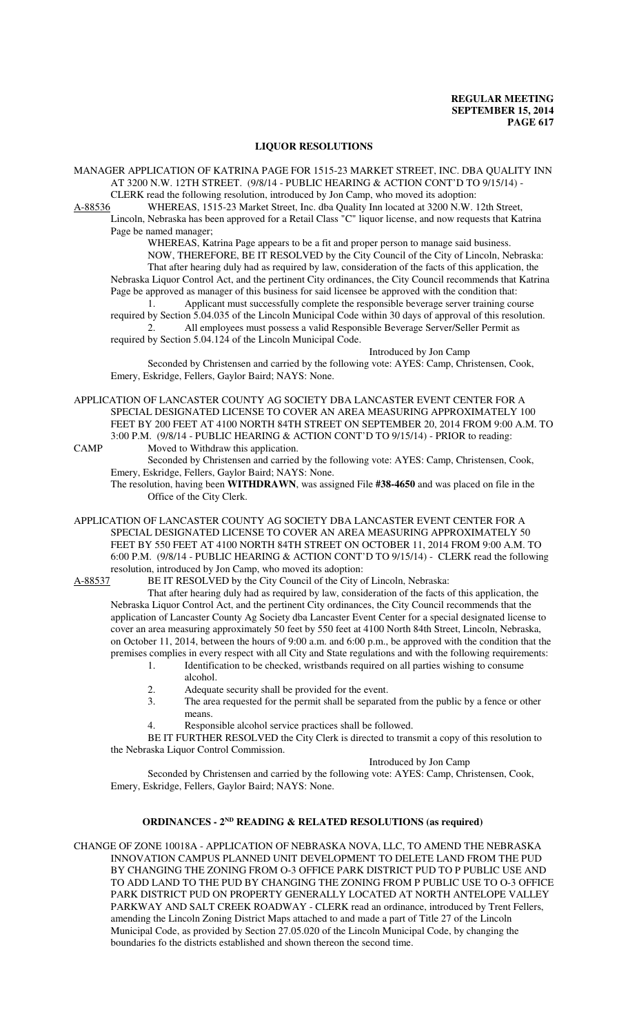## **LIQUOR RESOLUTIONS**

- MANAGER APPLICATION OF KATRINA PAGE FOR 1515-23 MARKET STREET, INC. DBA QUALITY INN AT 3200 N.W. 12TH STREET. (9/8/14 - PUBLIC HEARING & ACTION CONT'D TO 9/15/14) - CLERK read the following resolution, introduced by Jon Camp, who moved its adoption:
- A-88536 WHEREAS, 1515-23 Market Street, Inc. dba Quality Inn located at 3200 N.W. 12th Street,
	- Lincoln, Nebraska has been approved for a Retail Class "C" liquor license, and now requests that Katrina Page be named manager;

WHEREAS, Katrina Page appears to be a fit and proper person to manage said business. NOW, THEREFORE, BE IT RESOLVED by the City Council of the City of Lincoln, Nebraska: That after hearing duly had as required by law, consideration of the facts of this application, the Nebraska Liquor Control Act, and the pertinent City ordinances, the City Council recommends that Katrina Page be approved as manager of this business for said licensee be approved with the condition that:

1. Applicant must successfully complete the responsible beverage server training course required by Section 5.04.035 of the Lincoln Municipal Code within 30 days of approval of this resolution.

2. All employees must possess a valid Responsible Beverage Server/Seller Permit as required by Section 5.04.124 of the Lincoln Municipal Code.

#### Introduced by Jon Camp

Seconded by Christensen and carried by the following vote: AYES: Camp, Christensen, Cook, Emery, Eskridge, Fellers, Gaylor Baird; NAYS: None.

- APPLICATION OF LANCASTER COUNTY AG SOCIETY DBA LANCASTER EVENT CENTER FOR A SPECIAL DESIGNATED LICENSE TO COVER AN AREA MEASURING APPROXIMATELY 100 FEET BY 200 FEET AT 4100 NORTH 84TH STREET ON SEPTEMBER 20, 2014 FROM 9:00 A.M. TO 3:00 P.M. (9/8/14 - PUBLIC HEARING & ACTION CONT'D TO 9/15/14) - PRIOR to reading:
- CAMP Moved to Withdraw this application. Seconded by Christensen and carried by the following vote: AYES: Camp, Christensen, Cook,

Emery, Eskridge, Fellers, Gaylor Baird; NAYS: None.

The resolution, having been **WITHDRAWN**, was assigned File **#38-4650** and was placed on file in the Office of the City Clerk.

- APPLICATION OF LANCASTER COUNTY AG SOCIETY DBA LANCASTER EVENT CENTER FOR A SPECIAL DESIGNATED LICENSE TO COVER AN AREA MEASURING APPROXIMATELY 50 FEET BY 550 FEET AT 4100 NORTH 84TH STREET ON OCTOBER 11, 2014 FROM 9:00 A.M. TO 6:00 P.M. (9/8/14 - PUBLIC HEARING & ACTION CONT'D TO 9/15/14) - CLERK read the following resolution, introduced by Jon Camp, who moved its adoption:
- A-88537 BE IT RESOLVED by the City Council of the City of Lincoln, Nebraska:

That after hearing duly had as required by law, consideration of the facts of this application, the Nebraska Liquor Control Act, and the pertinent City ordinances, the City Council recommends that the application of Lancaster County Ag Society dba Lancaster Event Center for a special designated license to cover an area measuring approximately 50 feet by 550 feet at 4100 North 84th Street, Lincoln, Nebraska, on October 11, 2014, between the hours of 9:00 a.m. and 6:00 p.m., be approved with the condition that the premises complies in every respect with all City and State regulations and with the following requirements:

- 1. Identification to be checked, wristbands required on all parties wishing to consume alcohol.
- 2. Adequate security shall be provided for the event.<br>3. The area requested for the permit shall be separate
- The area requested for the permit shall be separated from the public by a fence or other means.
- 4. Responsible alcohol service practices shall be followed.

BE IT FURTHER RESOLVED the City Clerk is directed to transmit a copy of this resolution to the Nebraska Liquor Control Commission.

## Introduced by Jon Camp

Seconded by Christensen and carried by the following vote: AYES: Camp, Christensen, Cook, Emery, Eskridge, Fellers, Gaylor Baird; NAYS: None.

## **ORDINANCES - 2ND READING & RELATED RESOLUTIONS (as required)**

CHANGE OF ZONE 10018A - APPLICATION OF NEBRASKA NOVA, LLC, TO AMEND THE NEBRASKA INNOVATION CAMPUS PLANNED UNIT DEVELOPMENT TO DELETE LAND FROM THE PUD BY CHANGING THE ZONING FROM O-3 OFFICE PARK DISTRICT PUD TO P PUBLIC USE AND TO ADD LAND TO THE PUD BY CHANGING THE ZONING FROM P PUBLIC USE TO O-3 OFFICE PARK DISTRICT PUD ON PROPERTY GENERALLY LOCATED AT NORTH ANTELOPE VALLEY PARKWAY AND SALT CREEK ROADWAY - CLERK read an ordinance, introduced by Trent Fellers, amending the Lincoln Zoning District Maps attached to and made a part of Title 27 of the Lincoln Municipal Code, as provided by Section 27.05.020 of the Lincoln Municipal Code, by changing the boundaries fo the districts established and shown thereon the second time.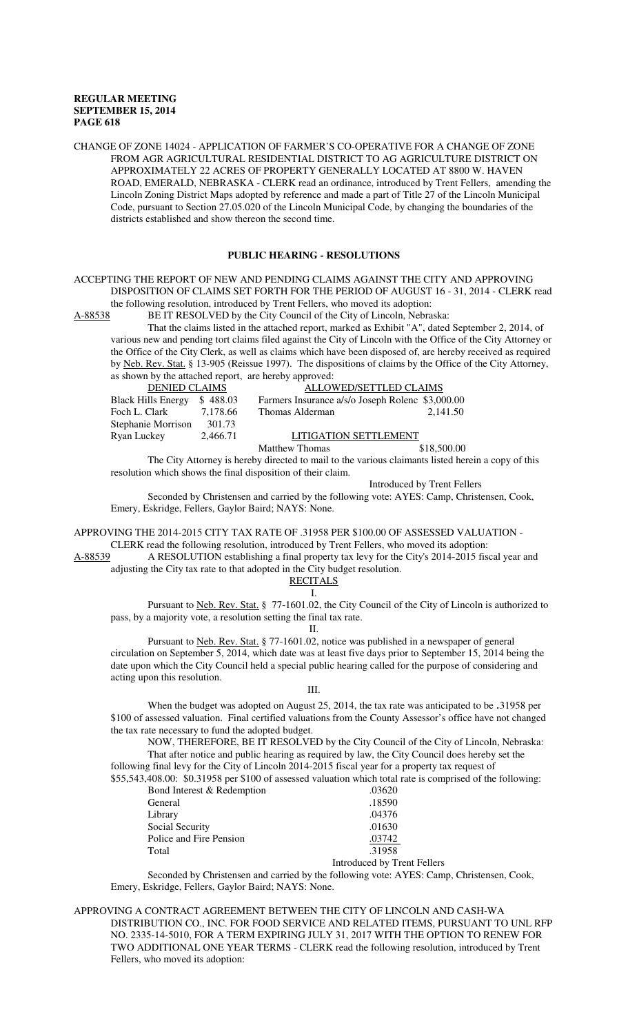CHANGE OF ZONE 14024 - APPLICATION OF FARMER'S CO-OPERATIVE FOR A CHANGE OF ZONE FROM AGR AGRICULTURAL RESIDENTIAL DISTRICT TO AG AGRICULTURE DISTRICT ON APPROXIMATELY 22 ACRES OF PROPERTY GENERALLY LOCATED AT 8800 W. HAVEN ROAD, EMERALD, NEBRASKA - CLERK read an ordinance, introduced by Trent Fellers, amending the Lincoln Zoning District Maps adopted by reference and made a part of Title 27 of the Lincoln Municipal Code, pursuant to Section 27.05.020 of the Lincoln Municipal Code, by changing the boundaries of the districts established and show thereon the second time.

### **PUBLIC HEARING - RESOLUTIONS**

ACCEPTING THE REPORT OF NEW AND PENDING CLAIMS AGAINST THE CITY AND APPROVING DISPOSITION OF CLAIMS SET FORTH FOR THE PERIOD OF AUGUST 16 - 31, 2014 - CLERK read the following resolution, introduced by Trent Fellers, who moved its adoption:<br>A-88538 BE IT RESOLVED by the City Council of the City of Lincoln, Nebra

BE IT RESOLVED by the City Council of the City of Lincoln, Nebraska:

That the claims listed in the attached report, marked as Exhibit "A", dated September 2, 2014, of various new and pending tort claims filed against the City of Lincoln with the Office of the City Attorney or the Office of the City Clerk, as well as claims which have been disposed of, are hereby received as required by Neb. Rev. Stat. § 13-905 (Reissue 1997). The dispositions of claims by the Office of the City Attorney, as shown by the attached report, are hereby approved:

| <b>DENIED CLAIMS</b>      |          | ALLOWED/SETTLED CLAIMS                           |          |
|---------------------------|----------|--------------------------------------------------|----------|
| <b>Black Hills Energy</b> | \$488.03 | Farmers Insurance a/s/o Joseph Rolenc \$3,000.00 |          |
| Foch L. Clark             | 7,178.66 | Thomas Alderman                                  | 2,141.50 |
| Stephanie Morrison        | 301.73   |                                                  |          |
| Ryan Luckey               | 2,466.71 | LITIGATION SETTLEMENT                            |          |
|                           |          |                                                  |          |

Matthew Thomas \$18,500.00

The City Attorney is hereby directed to mail to the various claimants listed herein a copy of this resolution which shows the final disposition of their claim.

Introduced by Trent Fellers

Seconded by Christensen and carried by the following vote: AYES: Camp, Christensen, Cook, Emery, Eskridge, Fellers, Gaylor Baird; NAYS: None.

APPROVING THE 2014-2015 CITY TAX RATE OF .31958 PER \$100.00 OF ASSESSED VALUATION - CLERK read the following resolution, introduced by Trent Fellers, who moved its adoption:<br>A RESOLUTION establishing a final property tax levy for the City's 2014-2015 fise

A-RESOLUTION establishing a final property tax levy for the City's 2014-2015 fiscal year and adjusting the City tax rate to that adopted in the City budget resolution.

| Ų<br>ITA.<br>ΓH<br>Ħ۱ |
|-----------------------|
|                       |

Pursuant to <u>Neb. Rev. Stat.</u> § 77-1601.02, the City Council of the City of Lincoln is authorized to pass, by a majority vote, a resolution setting the final tax rate.

II.

Pursuant to Neb. Rev. Stat. § 77-1601.02, notice was published in a newspaper of general circulation on September 5, 2014, which date was at least five days prior to September 15, 2014 being the date upon which the City Council held a special public hearing called for the purpose of considering and acting upon this resolution.

#### III.

When the budget was adopted on August 25, 2014, the tax rate was anticipated to be .31958 per \$100 of assessed valuation. Final certified valuations from the County Assessor's office have not changed the tax rate necessary to fund the adopted budget.

NOW, THEREFORE, BE IT RESOLVED by the City Council of the City of Lincoln, Nebraska: That after notice and public hearing as required by law, the City Council does hereby set the following final levy for the City of Lincoln 2014-2015 fiscal year for a property tax request of

\$55,543,408.00: \$0.31958 per \$100 of assessed valuation which total rate is comprised of the following:

| Bond Interest & Redemption | .03620                      |
|----------------------------|-----------------------------|
| General                    | .18590                      |
| Library                    | .04376                      |
| Social Security            | .01630                      |
| Police and Fire Pension    | .03742                      |
| Total                      | .31958                      |
|                            | Introduced by Trent Fellers |

Seconded by Christensen and carried by the following vote: AYES: Camp, Christensen, Cook, Emery, Eskridge, Fellers, Gaylor Baird; NAYS: None.

APPROVING A CONTRACT AGREEMENT BETWEEN THE CITY OF LINCOLN AND CASH-WA DISTRIBUTION CO., INC. FOR FOOD SERVICE AND RELATED ITEMS, PURSUANT TO UNL RFP NO. 2335-14-5010, FOR A TERM EXPIRING JULY 31, 2017 WITH THE OPTION TO RENEW FOR TWO ADDITIONAL ONE YEAR TERMS - CLERK read the following resolution, introduced by Trent Fellers, who moved its adoption: